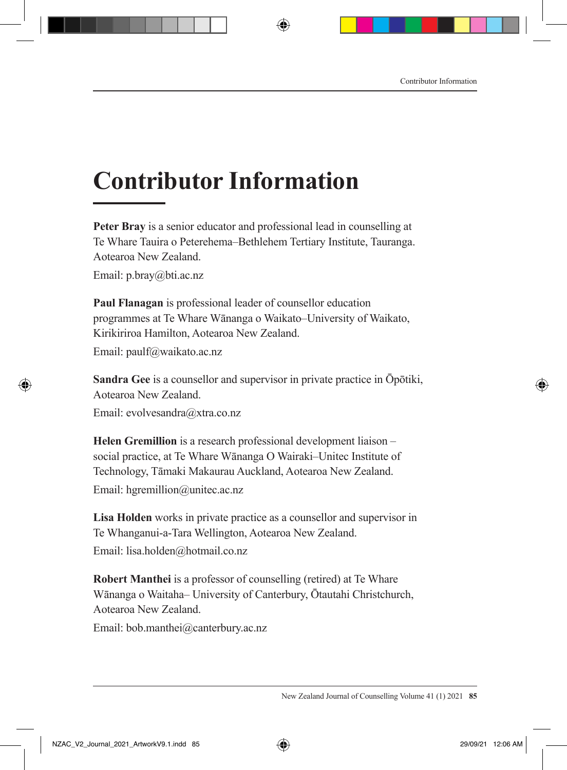## **Contributor Information**

**Peter Bray** is a senior educator and professional lead in counselling at Te Whare Tauira o Peterehema–Bethlehem Tertiary Institute, Tauranga. Aotearoa New Zealand.

Email: p.bray@bti.ac.nz

**Paul Flanagan** is professional leader of counsellor education programmes at Te Whare Wānanga o Waikato–University of Waikato, Kirikiriroa Hamilton, Aotearoa New Zealand. Email: paulf@waikato.ac.nz

**Sandra Gee** is a counsellor and supervisor in private practice in Ōpōtiki, Aotearoa New Zealand.

Email: evolvesandra@xtra.co.nz

**Helen Gremillion** is a research professional development liaison – social practice, at Te Whare Wānanga O Wairaki–Unitec Institute of Technology, Tāmaki Makaurau Auckland, Aotearoa New Zealand. Email: hgremillion@unitec.ac.nz

**Lisa Holden** works in private practice as a counsellor and supervisor in Te Whanganui-a-Tara Wellington, Aotearoa New Zealand. Email: lisa.holden@hotmail.co.nz

**Robert Manthei** is a professor of counselling (retired) at Te Whare Wānanga o Waitaha– University of Canterbury, Ōtautahi Christchurch, Aotearoa New Zealand.

Email: bob.manthei@canterbury.ac.nz